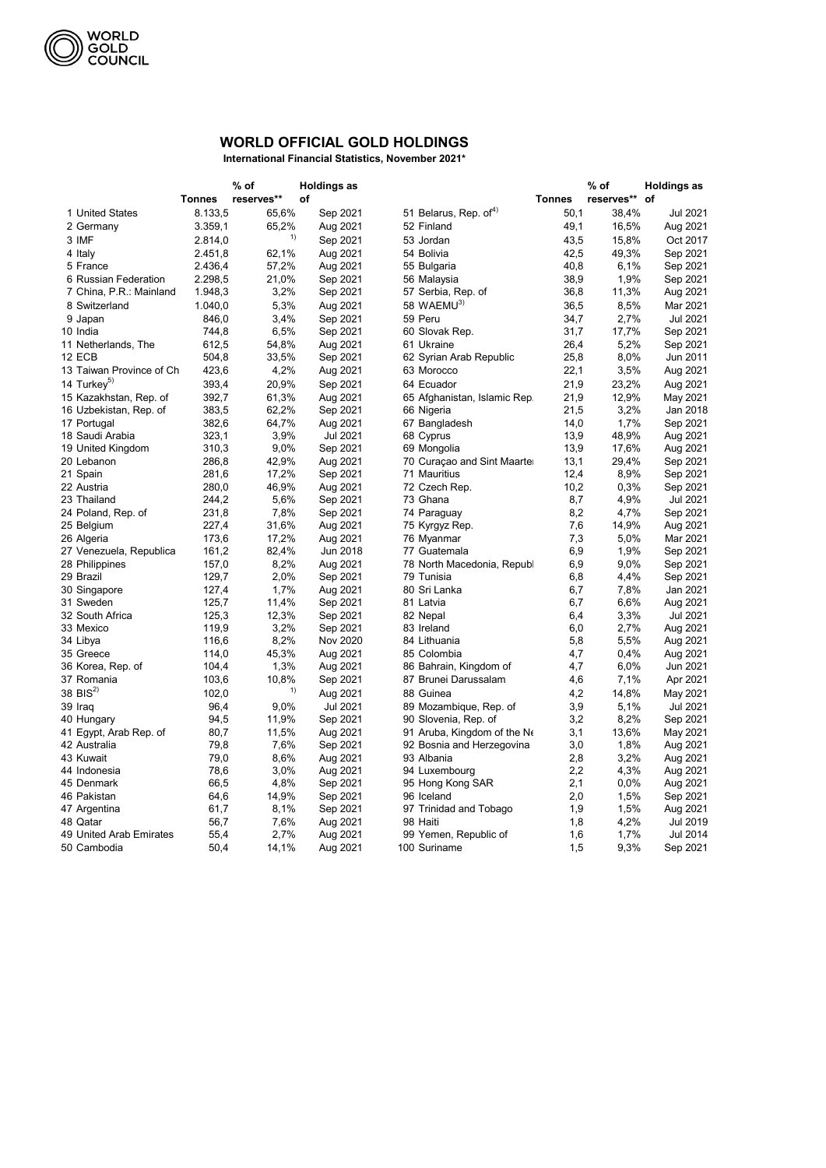| reserves**<br>reserves** of<br>of<br><b>Tonnes</b><br><b>Tonnes</b><br>8.133,5<br>51 Belarus, Rep. of <sup>4)</sup><br>50,1<br>38,4%<br>1 United States<br>65,6%<br>Sep 2021<br>Jul 2021<br>65,2%<br>2 Germany<br>3.359,1<br>Aug 2021<br>52 Finland<br>49,1<br>16,5%<br>Aug 2021<br>1)<br>3 IMF<br>2.814,0<br>Sep 2021<br>15,8%<br>Oct 2017<br>53 Jordan<br>43,5<br>Aug 2021<br>49,3%<br>Sep 2021<br>2.451,8<br>62,1%<br>54 Bolivia<br>42,5<br>4 Italy<br>5 France<br>2.436,4<br>57,2%<br>Aug 2021<br>55 Bulgaria<br>40,8<br>6,1%<br>Sep 2021<br>2.298,5<br>21,0%<br>1,9%<br>6 Russian Federation<br>Sep 2021<br>56 Malaysia<br>38,9<br>Sep 2021<br>1.948,3<br>3,2%<br>11,3%<br>7 China, P.R.: Mainland<br>Sep 2021<br>57 Serbia, Rep. of<br>36,8<br>Aug 2021<br>58 WAEMU <sup>3)</sup><br>5,3%<br>1.040,0<br>Aug 2021<br>36,5<br>8,5%<br>Mar 2021<br>8 Switzerland<br>846,0<br>3,4%<br>Sep 2021<br>59 Peru<br>Jul 2021<br>34,7<br>2,7%<br>9 Japan<br>6,5%<br>Sep 2021<br>Sep 2021<br>744,8<br>60 Slovak Rep.<br>31,7<br>17,7%<br>10 India<br>612,5<br>54,8%<br>11 Netherlands, The<br>Aug 2021<br>61 Ukraine<br>26,4<br>5,2%<br>Sep 2021<br>504,8<br>8,0%<br><b>12 ECB</b><br>33,5%<br>Sep 2021<br>25,8<br>Jun 2011<br>62 Syrian Arab Republic<br>423,6<br>4,2%<br>13 Taiwan Province of Ch<br>Aug 2021<br>22,1<br>3,5%<br>Aug 2021<br>63 Morocco<br>14 Turkey <sup>5)</sup><br>20,9%<br>393,4<br>Sep 2021<br>21,9<br>23,2%<br>Aug 2021<br>64 Ecuador<br>392,7<br>61,3%<br>21,9<br>12,9%<br>May 2021<br>15 Kazakhstan, Rep. of<br>Aug 2021<br>65 Afghanistan, Islamic Rep.<br>383,5<br>62,2%<br>Sep 2021<br>21,5<br>3,2%<br>Jan 2018<br>16 Uzbekistan, Rep. of<br>66 Nigeria<br>382,6<br>64,7%<br>Aug 2021<br>1,7%<br>Sep 2021<br>17 Portugal<br>67 Bangladesh<br>14,0<br>323,1<br>3,9%<br><b>Jul 2021</b><br>18 Saudi Arabia<br>68 Cyprus<br>13,9<br>48,9%<br>Aug 2021<br>310,3<br>9,0%<br>Sep 2021<br>19 United Kingdom<br>69 Mongolia<br>13,9<br>17,6%<br>Aug 2021<br>286,8<br>42,9%<br>Aug 2021<br>70 Curaçao and Sint Maarter<br>13,1<br>29,4%<br>Sep 2021<br>20 Lebanon<br>281,6<br>Sep 2021<br>21 Spain<br>17,2%<br>71 Mauritius<br>12,4<br>8,9%<br>Sep 2021<br>280,0<br>46,9%<br>0,3%<br>22 Austria<br>Aug 2021<br>72 Czech Rep.<br>10,2<br>Sep 2021<br>244,2<br>5,6%<br>Sep 2021<br>73 Ghana<br>4,9%<br><b>Jul 2021</b><br>23 Thailand<br>8,7<br>231,8<br>7,8%<br>Sep 2021<br>8,2<br>Sep 2021<br>74 Paraguay<br>4,7%<br>24 Poland, Rep. of<br>227,4<br>31,6%<br>Aug 2021<br>14,9%<br>7,6<br>Aug 2021<br>25 Belgium<br>75 Kyrgyz Rep.<br>173,6<br>17,2%<br>Aug 2021<br>Mar 2021<br>7,3<br>5,0%<br>26 Algeria<br>76 Myanmar<br>161,2<br>82,4%<br>Jun 2018<br>6,9<br>1,9%<br>Sep 2021<br>77 Guatemala<br>27 Venezuela, Republica<br>157,0<br>8,2%<br>Aug 2021<br>6,9<br>9,0%<br>78 North Macedonia, Republ<br>Sep 2021<br>28 Philippines<br>129,7<br>2,0%<br>79 Tunisia<br>4,4%<br>Sep 2021<br>29 Brazil<br>Sep 2021<br>6,8<br>127,4<br>1,7%<br>80 Sri Lanka<br>6,7<br>Jan 2021<br>30 Singapore<br>Aug 2021<br>7,8%<br>125,7<br>6,6%<br>Aug 2021<br>31 Sweden<br>11,4%<br>Sep 2021<br>81 Latvia<br>6,7<br>32 South Africa<br>125,3<br>12,3%<br>Sep 2021<br>6,4<br>3,3%<br><b>Jul 2021</b><br>82 Nepal<br>119,9<br>3,2%<br>Sep 2021<br>6,0<br>2,7%<br>Aug 2021<br>33 Mexico<br>83 Ireland<br>34 Libya<br>116,6<br>8,2%<br>Nov 2020<br>84 Lithuania<br>5,5%<br>Aug 2021<br>5,8<br>35 Greece<br>114,0<br>45,3%<br>Aug 2021<br>85 Colombia<br>0,4%<br>Aug 2021<br>4,7<br>36 Korea, Rep. of<br>104,4<br>1,3%<br>Aug 2021<br>86 Bahrain, Kingdom of<br>4,7<br>6,0%<br>Jun 2021<br>37 Romania<br>103,6<br>10,8%<br>Sep 2021<br>87 Brunei Darussalam<br>4,6<br>7,1%<br>Apr 2021<br>1)<br>38 BIS $^{2)}$<br>102,0<br>Aug 2021<br>88 Guinea<br>4,2<br>14,8%<br>May 2021<br>96,4<br><b>Jul 2021</b><br>5,1%<br><b>Jul 2021</b><br>39 Iraq<br>9,0%<br>89 Mozambique, Rep. of<br>3,9<br>Sep 2021<br>Sep 2021<br>94,5<br>11,9%<br>90 Slovenia, Rep. of<br>3,2<br>8,2%<br>40 Hungary<br>91 Aruba, Kingdom of the Ne<br>80,7<br>11,5%<br>Aug 2021<br>3,1<br>13,6%<br>May 2021<br>41 Egypt, Arab Rep. of<br>79,8<br>7,6%<br>Sep 2021<br>3,0<br>1,8%<br>Aug 2021<br>42 Australia<br>92 Bosnia and Herzegovina<br>43 Kuwait<br>79,0<br>8,6%<br>Aug 2021<br>93 Albania<br>2,8<br>3,2%<br>Aug 2021<br>78,6<br>3,0%<br>2,2<br>44 Indonesia<br>Aug 2021<br>94 Luxembourg<br>4,3%<br>Aug 2021<br>66,5<br>45 Denmark<br>4,8%<br>Sep 2021<br>95 Hong Kong SAR<br>2,1<br>0,0%<br>Aug 2021<br>46 Pakistan<br>64,6<br>14,9%<br>Sep 2021<br>2,0<br>1,5%<br>96 Iceland<br>Sep 2021<br>61,7<br>8,1%<br>Sep 2021<br>1,9<br>1,5%<br>47 Argentina<br>97 Trinidad and Tobago<br>Aug 2021<br>48 Qatar<br>56,7<br>7,6%<br>Aug 2021<br>1,8<br>4,2%<br>Jul 2019<br>98 Haiti<br><b>Jul 2014</b><br>49 United Arab Emirates<br>55,4<br>2,7%<br>Aug 2021<br>99 Yemen, Republic of<br>1,7%<br>1,6<br>50,4<br>14,1%<br>Aug 2021<br>100 Suriname<br>1,5<br>9,3%<br>Sep 2021 |             | $%$ of | <b>Holdings as</b> |  | $%$ of | <b>Holdings as</b> |
|--------------------------------------------------------------------------------------------------------------------------------------------------------------------------------------------------------------------------------------------------------------------------------------------------------------------------------------------------------------------------------------------------------------------------------------------------------------------------------------------------------------------------------------------------------------------------------------------------------------------------------------------------------------------------------------------------------------------------------------------------------------------------------------------------------------------------------------------------------------------------------------------------------------------------------------------------------------------------------------------------------------------------------------------------------------------------------------------------------------------------------------------------------------------------------------------------------------------------------------------------------------------------------------------------------------------------------------------------------------------------------------------------------------------------------------------------------------------------------------------------------------------------------------------------------------------------------------------------------------------------------------------------------------------------------------------------------------------------------------------------------------------------------------------------------------------------------------------------------------------------------------------------------------------------------------------------------------------------------------------------------------------------------------------------------------------------------------------------------------------------------------------------------------------------------------------------------------------------------------------------------------------------------------------------------------------------------------------------------------------------------------------------------------------------------------------------------------------------------------------------------------------------------------------------------------------------------------------------------------------------------------------------------------------------------------------------------------------------------------------------------------------------------------------------------------------------------------------------------------------------------------------------------------------------------------------------------------------------------------------------------------------------------------------------------------------------------------------------------------------------------------------------------------------------------------------------------------------------------------------------------------------------------------------------------------------------------------------------------------------------------------------------------------------------------------------------------------------------------------------------------------------------------------------------------------------------------------------------------------------------------------------------------------------------------------------------------------------------------------------------------------------------------------------------------------------------------------------------------------------------------------------------------------------------------------------------------------------------------------------------------------------------------------------------------------------------------------------------------------------------------------------------------------------------------------------------------------------------------------------------------------------------------------------------------------------------------------------------------------------------------------------------------------------------------------------------------------------------------------------------------------------------------------------------------------------------------------------------------------------------------------------------------------------------------------------------------------------------------------------------------------------------------------------------------------------------------------------------------------------------------------------------------------------------------------|-------------|--------|--------------------|--|--------|--------------------|
|                                                                                                                                                                                                                                                                                                                                                                                                                                                                                                                                                                                                                                                                                                                                                                                                                                                                                                                                                                                                                                                                                                                                                                                                                                                                                                                                                                                                                                                                                                                                                                                                                                                                                                                                                                                                                                                                                                                                                                                                                                                                                                                                                                                                                                                                                                                                                                                                                                                                                                                                                                                                                                                                                                                                                                                                                                                                                                                                                                                                                                                                                                                                                                                                                                                                                                                                                                                                                                                                                                                                                                                                                                                                                                                                                                                                                                                                                                                                                                                                                                                                                                                                                                                                                                                                                                                                                                                                                                                                                                                                                                                                                                                                                                                                                                                                                                                                                                                                      |             |        |                    |  |        |                    |
|                                                                                                                                                                                                                                                                                                                                                                                                                                                                                                                                                                                                                                                                                                                                                                                                                                                                                                                                                                                                                                                                                                                                                                                                                                                                                                                                                                                                                                                                                                                                                                                                                                                                                                                                                                                                                                                                                                                                                                                                                                                                                                                                                                                                                                                                                                                                                                                                                                                                                                                                                                                                                                                                                                                                                                                                                                                                                                                                                                                                                                                                                                                                                                                                                                                                                                                                                                                                                                                                                                                                                                                                                                                                                                                                                                                                                                                                                                                                                                                                                                                                                                                                                                                                                                                                                                                                                                                                                                                                                                                                                                                                                                                                                                                                                                                                                                                                                                                                      |             |        |                    |  |        |                    |
|                                                                                                                                                                                                                                                                                                                                                                                                                                                                                                                                                                                                                                                                                                                                                                                                                                                                                                                                                                                                                                                                                                                                                                                                                                                                                                                                                                                                                                                                                                                                                                                                                                                                                                                                                                                                                                                                                                                                                                                                                                                                                                                                                                                                                                                                                                                                                                                                                                                                                                                                                                                                                                                                                                                                                                                                                                                                                                                                                                                                                                                                                                                                                                                                                                                                                                                                                                                                                                                                                                                                                                                                                                                                                                                                                                                                                                                                                                                                                                                                                                                                                                                                                                                                                                                                                                                                                                                                                                                                                                                                                                                                                                                                                                                                                                                                                                                                                                                                      |             |        |                    |  |        |                    |
|                                                                                                                                                                                                                                                                                                                                                                                                                                                                                                                                                                                                                                                                                                                                                                                                                                                                                                                                                                                                                                                                                                                                                                                                                                                                                                                                                                                                                                                                                                                                                                                                                                                                                                                                                                                                                                                                                                                                                                                                                                                                                                                                                                                                                                                                                                                                                                                                                                                                                                                                                                                                                                                                                                                                                                                                                                                                                                                                                                                                                                                                                                                                                                                                                                                                                                                                                                                                                                                                                                                                                                                                                                                                                                                                                                                                                                                                                                                                                                                                                                                                                                                                                                                                                                                                                                                                                                                                                                                                                                                                                                                                                                                                                                                                                                                                                                                                                                                                      |             |        |                    |  |        |                    |
|                                                                                                                                                                                                                                                                                                                                                                                                                                                                                                                                                                                                                                                                                                                                                                                                                                                                                                                                                                                                                                                                                                                                                                                                                                                                                                                                                                                                                                                                                                                                                                                                                                                                                                                                                                                                                                                                                                                                                                                                                                                                                                                                                                                                                                                                                                                                                                                                                                                                                                                                                                                                                                                                                                                                                                                                                                                                                                                                                                                                                                                                                                                                                                                                                                                                                                                                                                                                                                                                                                                                                                                                                                                                                                                                                                                                                                                                                                                                                                                                                                                                                                                                                                                                                                                                                                                                                                                                                                                                                                                                                                                                                                                                                                                                                                                                                                                                                                                                      |             |        |                    |  |        |                    |
|                                                                                                                                                                                                                                                                                                                                                                                                                                                                                                                                                                                                                                                                                                                                                                                                                                                                                                                                                                                                                                                                                                                                                                                                                                                                                                                                                                                                                                                                                                                                                                                                                                                                                                                                                                                                                                                                                                                                                                                                                                                                                                                                                                                                                                                                                                                                                                                                                                                                                                                                                                                                                                                                                                                                                                                                                                                                                                                                                                                                                                                                                                                                                                                                                                                                                                                                                                                                                                                                                                                                                                                                                                                                                                                                                                                                                                                                                                                                                                                                                                                                                                                                                                                                                                                                                                                                                                                                                                                                                                                                                                                                                                                                                                                                                                                                                                                                                                                                      |             |        |                    |  |        |                    |
|                                                                                                                                                                                                                                                                                                                                                                                                                                                                                                                                                                                                                                                                                                                                                                                                                                                                                                                                                                                                                                                                                                                                                                                                                                                                                                                                                                                                                                                                                                                                                                                                                                                                                                                                                                                                                                                                                                                                                                                                                                                                                                                                                                                                                                                                                                                                                                                                                                                                                                                                                                                                                                                                                                                                                                                                                                                                                                                                                                                                                                                                                                                                                                                                                                                                                                                                                                                                                                                                                                                                                                                                                                                                                                                                                                                                                                                                                                                                                                                                                                                                                                                                                                                                                                                                                                                                                                                                                                                                                                                                                                                                                                                                                                                                                                                                                                                                                                                                      |             |        |                    |  |        |                    |
|                                                                                                                                                                                                                                                                                                                                                                                                                                                                                                                                                                                                                                                                                                                                                                                                                                                                                                                                                                                                                                                                                                                                                                                                                                                                                                                                                                                                                                                                                                                                                                                                                                                                                                                                                                                                                                                                                                                                                                                                                                                                                                                                                                                                                                                                                                                                                                                                                                                                                                                                                                                                                                                                                                                                                                                                                                                                                                                                                                                                                                                                                                                                                                                                                                                                                                                                                                                                                                                                                                                                                                                                                                                                                                                                                                                                                                                                                                                                                                                                                                                                                                                                                                                                                                                                                                                                                                                                                                                                                                                                                                                                                                                                                                                                                                                                                                                                                                                                      |             |        |                    |  |        |                    |
|                                                                                                                                                                                                                                                                                                                                                                                                                                                                                                                                                                                                                                                                                                                                                                                                                                                                                                                                                                                                                                                                                                                                                                                                                                                                                                                                                                                                                                                                                                                                                                                                                                                                                                                                                                                                                                                                                                                                                                                                                                                                                                                                                                                                                                                                                                                                                                                                                                                                                                                                                                                                                                                                                                                                                                                                                                                                                                                                                                                                                                                                                                                                                                                                                                                                                                                                                                                                                                                                                                                                                                                                                                                                                                                                                                                                                                                                                                                                                                                                                                                                                                                                                                                                                                                                                                                                                                                                                                                                                                                                                                                                                                                                                                                                                                                                                                                                                                                                      |             |        |                    |  |        |                    |
|                                                                                                                                                                                                                                                                                                                                                                                                                                                                                                                                                                                                                                                                                                                                                                                                                                                                                                                                                                                                                                                                                                                                                                                                                                                                                                                                                                                                                                                                                                                                                                                                                                                                                                                                                                                                                                                                                                                                                                                                                                                                                                                                                                                                                                                                                                                                                                                                                                                                                                                                                                                                                                                                                                                                                                                                                                                                                                                                                                                                                                                                                                                                                                                                                                                                                                                                                                                                                                                                                                                                                                                                                                                                                                                                                                                                                                                                                                                                                                                                                                                                                                                                                                                                                                                                                                                                                                                                                                                                                                                                                                                                                                                                                                                                                                                                                                                                                                                                      |             |        |                    |  |        |                    |
|                                                                                                                                                                                                                                                                                                                                                                                                                                                                                                                                                                                                                                                                                                                                                                                                                                                                                                                                                                                                                                                                                                                                                                                                                                                                                                                                                                                                                                                                                                                                                                                                                                                                                                                                                                                                                                                                                                                                                                                                                                                                                                                                                                                                                                                                                                                                                                                                                                                                                                                                                                                                                                                                                                                                                                                                                                                                                                                                                                                                                                                                                                                                                                                                                                                                                                                                                                                                                                                                                                                                                                                                                                                                                                                                                                                                                                                                                                                                                                                                                                                                                                                                                                                                                                                                                                                                                                                                                                                                                                                                                                                                                                                                                                                                                                                                                                                                                                                                      |             |        |                    |  |        |                    |
|                                                                                                                                                                                                                                                                                                                                                                                                                                                                                                                                                                                                                                                                                                                                                                                                                                                                                                                                                                                                                                                                                                                                                                                                                                                                                                                                                                                                                                                                                                                                                                                                                                                                                                                                                                                                                                                                                                                                                                                                                                                                                                                                                                                                                                                                                                                                                                                                                                                                                                                                                                                                                                                                                                                                                                                                                                                                                                                                                                                                                                                                                                                                                                                                                                                                                                                                                                                                                                                                                                                                                                                                                                                                                                                                                                                                                                                                                                                                                                                                                                                                                                                                                                                                                                                                                                                                                                                                                                                                                                                                                                                                                                                                                                                                                                                                                                                                                                                                      |             |        |                    |  |        |                    |
|                                                                                                                                                                                                                                                                                                                                                                                                                                                                                                                                                                                                                                                                                                                                                                                                                                                                                                                                                                                                                                                                                                                                                                                                                                                                                                                                                                                                                                                                                                                                                                                                                                                                                                                                                                                                                                                                                                                                                                                                                                                                                                                                                                                                                                                                                                                                                                                                                                                                                                                                                                                                                                                                                                                                                                                                                                                                                                                                                                                                                                                                                                                                                                                                                                                                                                                                                                                                                                                                                                                                                                                                                                                                                                                                                                                                                                                                                                                                                                                                                                                                                                                                                                                                                                                                                                                                                                                                                                                                                                                                                                                                                                                                                                                                                                                                                                                                                                                                      |             |        |                    |  |        |                    |
|                                                                                                                                                                                                                                                                                                                                                                                                                                                                                                                                                                                                                                                                                                                                                                                                                                                                                                                                                                                                                                                                                                                                                                                                                                                                                                                                                                                                                                                                                                                                                                                                                                                                                                                                                                                                                                                                                                                                                                                                                                                                                                                                                                                                                                                                                                                                                                                                                                                                                                                                                                                                                                                                                                                                                                                                                                                                                                                                                                                                                                                                                                                                                                                                                                                                                                                                                                                                                                                                                                                                                                                                                                                                                                                                                                                                                                                                                                                                                                                                                                                                                                                                                                                                                                                                                                                                                                                                                                                                                                                                                                                                                                                                                                                                                                                                                                                                                                                                      |             |        |                    |  |        |                    |
|                                                                                                                                                                                                                                                                                                                                                                                                                                                                                                                                                                                                                                                                                                                                                                                                                                                                                                                                                                                                                                                                                                                                                                                                                                                                                                                                                                                                                                                                                                                                                                                                                                                                                                                                                                                                                                                                                                                                                                                                                                                                                                                                                                                                                                                                                                                                                                                                                                                                                                                                                                                                                                                                                                                                                                                                                                                                                                                                                                                                                                                                                                                                                                                                                                                                                                                                                                                                                                                                                                                                                                                                                                                                                                                                                                                                                                                                                                                                                                                                                                                                                                                                                                                                                                                                                                                                                                                                                                                                                                                                                                                                                                                                                                                                                                                                                                                                                                                                      |             |        |                    |  |        |                    |
|                                                                                                                                                                                                                                                                                                                                                                                                                                                                                                                                                                                                                                                                                                                                                                                                                                                                                                                                                                                                                                                                                                                                                                                                                                                                                                                                                                                                                                                                                                                                                                                                                                                                                                                                                                                                                                                                                                                                                                                                                                                                                                                                                                                                                                                                                                                                                                                                                                                                                                                                                                                                                                                                                                                                                                                                                                                                                                                                                                                                                                                                                                                                                                                                                                                                                                                                                                                                                                                                                                                                                                                                                                                                                                                                                                                                                                                                                                                                                                                                                                                                                                                                                                                                                                                                                                                                                                                                                                                                                                                                                                                                                                                                                                                                                                                                                                                                                                                                      |             |        |                    |  |        |                    |
|                                                                                                                                                                                                                                                                                                                                                                                                                                                                                                                                                                                                                                                                                                                                                                                                                                                                                                                                                                                                                                                                                                                                                                                                                                                                                                                                                                                                                                                                                                                                                                                                                                                                                                                                                                                                                                                                                                                                                                                                                                                                                                                                                                                                                                                                                                                                                                                                                                                                                                                                                                                                                                                                                                                                                                                                                                                                                                                                                                                                                                                                                                                                                                                                                                                                                                                                                                                                                                                                                                                                                                                                                                                                                                                                                                                                                                                                                                                                                                                                                                                                                                                                                                                                                                                                                                                                                                                                                                                                                                                                                                                                                                                                                                                                                                                                                                                                                                                                      |             |        |                    |  |        |                    |
|                                                                                                                                                                                                                                                                                                                                                                                                                                                                                                                                                                                                                                                                                                                                                                                                                                                                                                                                                                                                                                                                                                                                                                                                                                                                                                                                                                                                                                                                                                                                                                                                                                                                                                                                                                                                                                                                                                                                                                                                                                                                                                                                                                                                                                                                                                                                                                                                                                                                                                                                                                                                                                                                                                                                                                                                                                                                                                                                                                                                                                                                                                                                                                                                                                                                                                                                                                                                                                                                                                                                                                                                                                                                                                                                                                                                                                                                                                                                                                                                                                                                                                                                                                                                                                                                                                                                                                                                                                                                                                                                                                                                                                                                                                                                                                                                                                                                                                                                      |             |        |                    |  |        |                    |
|                                                                                                                                                                                                                                                                                                                                                                                                                                                                                                                                                                                                                                                                                                                                                                                                                                                                                                                                                                                                                                                                                                                                                                                                                                                                                                                                                                                                                                                                                                                                                                                                                                                                                                                                                                                                                                                                                                                                                                                                                                                                                                                                                                                                                                                                                                                                                                                                                                                                                                                                                                                                                                                                                                                                                                                                                                                                                                                                                                                                                                                                                                                                                                                                                                                                                                                                                                                                                                                                                                                                                                                                                                                                                                                                                                                                                                                                                                                                                                                                                                                                                                                                                                                                                                                                                                                                                                                                                                                                                                                                                                                                                                                                                                                                                                                                                                                                                                                                      |             |        |                    |  |        |                    |
|                                                                                                                                                                                                                                                                                                                                                                                                                                                                                                                                                                                                                                                                                                                                                                                                                                                                                                                                                                                                                                                                                                                                                                                                                                                                                                                                                                                                                                                                                                                                                                                                                                                                                                                                                                                                                                                                                                                                                                                                                                                                                                                                                                                                                                                                                                                                                                                                                                                                                                                                                                                                                                                                                                                                                                                                                                                                                                                                                                                                                                                                                                                                                                                                                                                                                                                                                                                                                                                                                                                                                                                                                                                                                                                                                                                                                                                                                                                                                                                                                                                                                                                                                                                                                                                                                                                                                                                                                                                                                                                                                                                                                                                                                                                                                                                                                                                                                                                                      |             |        |                    |  |        |                    |
|                                                                                                                                                                                                                                                                                                                                                                                                                                                                                                                                                                                                                                                                                                                                                                                                                                                                                                                                                                                                                                                                                                                                                                                                                                                                                                                                                                                                                                                                                                                                                                                                                                                                                                                                                                                                                                                                                                                                                                                                                                                                                                                                                                                                                                                                                                                                                                                                                                                                                                                                                                                                                                                                                                                                                                                                                                                                                                                                                                                                                                                                                                                                                                                                                                                                                                                                                                                                                                                                                                                                                                                                                                                                                                                                                                                                                                                                                                                                                                                                                                                                                                                                                                                                                                                                                                                                                                                                                                                                                                                                                                                                                                                                                                                                                                                                                                                                                                                                      |             |        |                    |  |        |                    |
|                                                                                                                                                                                                                                                                                                                                                                                                                                                                                                                                                                                                                                                                                                                                                                                                                                                                                                                                                                                                                                                                                                                                                                                                                                                                                                                                                                                                                                                                                                                                                                                                                                                                                                                                                                                                                                                                                                                                                                                                                                                                                                                                                                                                                                                                                                                                                                                                                                                                                                                                                                                                                                                                                                                                                                                                                                                                                                                                                                                                                                                                                                                                                                                                                                                                                                                                                                                                                                                                                                                                                                                                                                                                                                                                                                                                                                                                                                                                                                                                                                                                                                                                                                                                                                                                                                                                                                                                                                                                                                                                                                                                                                                                                                                                                                                                                                                                                                                                      |             |        |                    |  |        |                    |
|                                                                                                                                                                                                                                                                                                                                                                                                                                                                                                                                                                                                                                                                                                                                                                                                                                                                                                                                                                                                                                                                                                                                                                                                                                                                                                                                                                                                                                                                                                                                                                                                                                                                                                                                                                                                                                                                                                                                                                                                                                                                                                                                                                                                                                                                                                                                                                                                                                                                                                                                                                                                                                                                                                                                                                                                                                                                                                                                                                                                                                                                                                                                                                                                                                                                                                                                                                                                                                                                                                                                                                                                                                                                                                                                                                                                                                                                                                                                                                                                                                                                                                                                                                                                                                                                                                                                                                                                                                                                                                                                                                                                                                                                                                                                                                                                                                                                                                                                      |             |        |                    |  |        |                    |
|                                                                                                                                                                                                                                                                                                                                                                                                                                                                                                                                                                                                                                                                                                                                                                                                                                                                                                                                                                                                                                                                                                                                                                                                                                                                                                                                                                                                                                                                                                                                                                                                                                                                                                                                                                                                                                                                                                                                                                                                                                                                                                                                                                                                                                                                                                                                                                                                                                                                                                                                                                                                                                                                                                                                                                                                                                                                                                                                                                                                                                                                                                                                                                                                                                                                                                                                                                                                                                                                                                                                                                                                                                                                                                                                                                                                                                                                                                                                                                                                                                                                                                                                                                                                                                                                                                                                                                                                                                                                                                                                                                                                                                                                                                                                                                                                                                                                                                                                      |             |        |                    |  |        |                    |
|                                                                                                                                                                                                                                                                                                                                                                                                                                                                                                                                                                                                                                                                                                                                                                                                                                                                                                                                                                                                                                                                                                                                                                                                                                                                                                                                                                                                                                                                                                                                                                                                                                                                                                                                                                                                                                                                                                                                                                                                                                                                                                                                                                                                                                                                                                                                                                                                                                                                                                                                                                                                                                                                                                                                                                                                                                                                                                                                                                                                                                                                                                                                                                                                                                                                                                                                                                                                                                                                                                                                                                                                                                                                                                                                                                                                                                                                                                                                                                                                                                                                                                                                                                                                                                                                                                                                                                                                                                                                                                                                                                                                                                                                                                                                                                                                                                                                                                                                      |             |        |                    |  |        |                    |
|                                                                                                                                                                                                                                                                                                                                                                                                                                                                                                                                                                                                                                                                                                                                                                                                                                                                                                                                                                                                                                                                                                                                                                                                                                                                                                                                                                                                                                                                                                                                                                                                                                                                                                                                                                                                                                                                                                                                                                                                                                                                                                                                                                                                                                                                                                                                                                                                                                                                                                                                                                                                                                                                                                                                                                                                                                                                                                                                                                                                                                                                                                                                                                                                                                                                                                                                                                                                                                                                                                                                                                                                                                                                                                                                                                                                                                                                                                                                                                                                                                                                                                                                                                                                                                                                                                                                                                                                                                                                                                                                                                                                                                                                                                                                                                                                                                                                                                                                      |             |        |                    |  |        |                    |
|                                                                                                                                                                                                                                                                                                                                                                                                                                                                                                                                                                                                                                                                                                                                                                                                                                                                                                                                                                                                                                                                                                                                                                                                                                                                                                                                                                                                                                                                                                                                                                                                                                                                                                                                                                                                                                                                                                                                                                                                                                                                                                                                                                                                                                                                                                                                                                                                                                                                                                                                                                                                                                                                                                                                                                                                                                                                                                                                                                                                                                                                                                                                                                                                                                                                                                                                                                                                                                                                                                                                                                                                                                                                                                                                                                                                                                                                                                                                                                                                                                                                                                                                                                                                                                                                                                                                                                                                                                                                                                                                                                                                                                                                                                                                                                                                                                                                                                                                      |             |        |                    |  |        |                    |
|                                                                                                                                                                                                                                                                                                                                                                                                                                                                                                                                                                                                                                                                                                                                                                                                                                                                                                                                                                                                                                                                                                                                                                                                                                                                                                                                                                                                                                                                                                                                                                                                                                                                                                                                                                                                                                                                                                                                                                                                                                                                                                                                                                                                                                                                                                                                                                                                                                                                                                                                                                                                                                                                                                                                                                                                                                                                                                                                                                                                                                                                                                                                                                                                                                                                                                                                                                                                                                                                                                                                                                                                                                                                                                                                                                                                                                                                                                                                                                                                                                                                                                                                                                                                                                                                                                                                                                                                                                                                                                                                                                                                                                                                                                                                                                                                                                                                                                                                      |             |        |                    |  |        |                    |
|                                                                                                                                                                                                                                                                                                                                                                                                                                                                                                                                                                                                                                                                                                                                                                                                                                                                                                                                                                                                                                                                                                                                                                                                                                                                                                                                                                                                                                                                                                                                                                                                                                                                                                                                                                                                                                                                                                                                                                                                                                                                                                                                                                                                                                                                                                                                                                                                                                                                                                                                                                                                                                                                                                                                                                                                                                                                                                                                                                                                                                                                                                                                                                                                                                                                                                                                                                                                                                                                                                                                                                                                                                                                                                                                                                                                                                                                                                                                                                                                                                                                                                                                                                                                                                                                                                                                                                                                                                                                                                                                                                                                                                                                                                                                                                                                                                                                                                                                      |             |        |                    |  |        |                    |
|                                                                                                                                                                                                                                                                                                                                                                                                                                                                                                                                                                                                                                                                                                                                                                                                                                                                                                                                                                                                                                                                                                                                                                                                                                                                                                                                                                                                                                                                                                                                                                                                                                                                                                                                                                                                                                                                                                                                                                                                                                                                                                                                                                                                                                                                                                                                                                                                                                                                                                                                                                                                                                                                                                                                                                                                                                                                                                                                                                                                                                                                                                                                                                                                                                                                                                                                                                                                                                                                                                                                                                                                                                                                                                                                                                                                                                                                                                                                                                                                                                                                                                                                                                                                                                                                                                                                                                                                                                                                                                                                                                                                                                                                                                                                                                                                                                                                                                                                      |             |        |                    |  |        |                    |
|                                                                                                                                                                                                                                                                                                                                                                                                                                                                                                                                                                                                                                                                                                                                                                                                                                                                                                                                                                                                                                                                                                                                                                                                                                                                                                                                                                                                                                                                                                                                                                                                                                                                                                                                                                                                                                                                                                                                                                                                                                                                                                                                                                                                                                                                                                                                                                                                                                                                                                                                                                                                                                                                                                                                                                                                                                                                                                                                                                                                                                                                                                                                                                                                                                                                                                                                                                                                                                                                                                                                                                                                                                                                                                                                                                                                                                                                                                                                                                                                                                                                                                                                                                                                                                                                                                                                                                                                                                                                                                                                                                                                                                                                                                                                                                                                                                                                                                                                      |             |        |                    |  |        |                    |
|                                                                                                                                                                                                                                                                                                                                                                                                                                                                                                                                                                                                                                                                                                                                                                                                                                                                                                                                                                                                                                                                                                                                                                                                                                                                                                                                                                                                                                                                                                                                                                                                                                                                                                                                                                                                                                                                                                                                                                                                                                                                                                                                                                                                                                                                                                                                                                                                                                                                                                                                                                                                                                                                                                                                                                                                                                                                                                                                                                                                                                                                                                                                                                                                                                                                                                                                                                                                                                                                                                                                                                                                                                                                                                                                                                                                                                                                                                                                                                                                                                                                                                                                                                                                                                                                                                                                                                                                                                                                                                                                                                                                                                                                                                                                                                                                                                                                                                                                      |             |        |                    |  |        |                    |
|                                                                                                                                                                                                                                                                                                                                                                                                                                                                                                                                                                                                                                                                                                                                                                                                                                                                                                                                                                                                                                                                                                                                                                                                                                                                                                                                                                                                                                                                                                                                                                                                                                                                                                                                                                                                                                                                                                                                                                                                                                                                                                                                                                                                                                                                                                                                                                                                                                                                                                                                                                                                                                                                                                                                                                                                                                                                                                                                                                                                                                                                                                                                                                                                                                                                                                                                                                                                                                                                                                                                                                                                                                                                                                                                                                                                                                                                                                                                                                                                                                                                                                                                                                                                                                                                                                                                                                                                                                                                                                                                                                                                                                                                                                                                                                                                                                                                                                                                      |             |        |                    |  |        |                    |
|                                                                                                                                                                                                                                                                                                                                                                                                                                                                                                                                                                                                                                                                                                                                                                                                                                                                                                                                                                                                                                                                                                                                                                                                                                                                                                                                                                                                                                                                                                                                                                                                                                                                                                                                                                                                                                                                                                                                                                                                                                                                                                                                                                                                                                                                                                                                                                                                                                                                                                                                                                                                                                                                                                                                                                                                                                                                                                                                                                                                                                                                                                                                                                                                                                                                                                                                                                                                                                                                                                                                                                                                                                                                                                                                                                                                                                                                                                                                                                                                                                                                                                                                                                                                                                                                                                                                                                                                                                                                                                                                                                                                                                                                                                                                                                                                                                                                                                                                      |             |        |                    |  |        |                    |
|                                                                                                                                                                                                                                                                                                                                                                                                                                                                                                                                                                                                                                                                                                                                                                                                                                                                                                                                                                                                                                                                                                                                                                                                                                                                                                                                                                                                                                                                                                                                                                                                                                                                                                                                                                                                                                                                                                                                                                                                                                                                                                                                                                                                                                                                                                                                                                                                                                                                                                                                                                                                                                                                                                                                                                                                                                                                                                                                                                                                                                                                                                                                                                                                                                                                                                                                                                                                                                                                                                                                                                                                                                                                                                                                                                                                                                                                                                                                                                                                                                                                                                                                                                                                                                                                                                                                                                                                                                                                                                                                                                                                                                                                                                                                                                                                                                                                                                                                      |             |        |                    |  |        |                    |
|                                                                                                                                                                                                                                                                                                                                                                                                                                                                                                                                                                                                                                                                                                                                                                                                                                                                                                                                                                                                                                                                                                                                                                                                                                                                                                                                                                                                                                                                                                                                                                                                                                                                                                                                                                                                                                                                                                                                                                                                                                                                                                                                                                                                                                                                                                                                                                                                                                                                                                                                                                                                                                                                                                                                                                                                                                                                                                                                                                                                                                                                                                                                                                                                                                                                                                                                                                                                                                                                                                                                                                                                                                                                                                                                                                                                                                                                                                                                                                                                                                                                                                                                                                                                                                                                                                                                                                                                                                                                                                                                                                                                                                                                                                                                                                                                                                                                                                                                      |             |        |                    |  |        |                    |
|                                                                                                                                                                                                                                                                                                                                                                                                                                                                                                                                                                                                                                                                                                                                                                                                                                                                                                                                                                                                                                                                                                                                                                                                                                                                                                                                                                                                                                                                                                                                                                                                                                                                                                                                                                                                                                                                                                                                                                                                                                                                                                                                                                                                                                                                                                                                                                                                                                                                                                                                                                                                                                                                                                                                                                                                                                                                                                                                                                                                                                                                                                                                                                                                                                                                                                                                                                                                                                                                                                                                                                                                                                                                                                                                                                                                                                                                                                                                                                                                                                                                                                                                                                                                                                                                                                                                                                                                                                                                                                                                                                                                                                                                                                                                                                                                                                                                                                                                      |             |        |                    |  |        |                    |
|                                                                                                                                                                                                                                                                                                                                                                                                                                                                                                                                                                                                                                                                                                                                                                                                                                                                                                                                                                                                                                                                                                                                                                                                                                                                                                                                                                                                                                                                                                                                                                                                                                                                                                                                                                                                                                                                                                                                                                                                                                                                                                                                                                                                                                                                                                                                                                                                                                                                                                                                                                                                                                                                                                                                                                                                                                                                                                                                                                                                                                                                                                                                                                                                                                                                                                                                                                                                                                                                                                                                                                                                                                                                                                                                                                                                                                                                                                                                                                                                                                                                                                                                                                                                                                                                                                                                                                                                                                                                                                                                                                                                                                                                                                                                                                                                                                                                                                                                      |             |        |                    |  |        |                    |
|                                                                                                                                                                                                                                                                                                                                                                                                                                                                                                                                                                                                                                                                                                                                                                                                                                                                                                                                                                                                                                                                                                                                                                                                                                                                                                                                                                                                                                                                                                                                                                                                                                                                                                                                                                                                                                                                                                                                                                                                                                                                                                                                                                                                                                                                                                                                                                                                                                                                                                                                                                                                                                                                                                                                                                                                                                                                                                                                                                                                                                                                                                                                                                                                                                                                                                                                                                                                                                                                                                                                                                                                                                                                                                                                                                                                                                                                                                                                                                                                                                                                                                                                                                                                                                                                                                                                                                                                                                                                                                                                                                                                                                                                                                                                                                                                                                                                                                                                      |             |        |                    |  |        |                    |
|                                                                                                                                                                                                                                                                                                                                                                                                                                                                                                                                                                                                                                                                                                                                                                                                                                                                                                                                                                                                                                                                                                                                                                                                                                                                                                                                                                                                                                                                                                                                                                                                                                                                                                                                                                                                                                                                                                                                                                                                                                                                                                                                                                                                                                                                                                                                                                                                                                                                                                                                                                                                                                                                                                                                                                                                                                                                                                                                                                                                                                                                                                                                                                                                                                                                                                                                                                                                                                                                                                                                                                                                                                                                                                                                                                                                                                                                                                                                                                                                                                                                                                                                                                                                                                                                                                                                                                                                                                                                                                                                                                                                                                                                                                                                                                                                                                                                                                                                      |             |        |                    |  |        |                    |
|                                                                                                                                                                                                                                                                                                                                                                                                                                                                                                                                                                                                                                                                                                                                                                                                                                                                                                                                                                                                                                                                                                                                                                                                                                                                                                                                                                                                                                                                                                                                                                                                                                                                                                                                                                                                                                                                                                                                                                                                                                                                                                                                                                                                                                                                                                                                                                                                                                                                                                                                                                                                                                                                                                                                                                                                                                                                                                                                                                                                                                                                                                                                                                                                                                                                                                                                                                                                                                                                                                                                                                                                                                                                                                                                                                                                                                                                                                                                                                                                                                                                                                                                                                                                                                                                                                                                                                                                                                                                                                                                                                                                                                                                                                                                                                                                                                                                                                                                      |             |        |                    |  |        |                    |
|                                                                                                                                                                                                                                                                                                                                                                                                                                                                                                                                                                                                                                                                                                                                                                                                                                                                                                                                                                                                                                                                                                                                                                                                                                                                                                                                                                                                                                                                                                                                                                                                                                                                                                                                                                                                                                                                                                                                                                                                                                                                                                                                                                                                                                                                                                                                                                                                                                                                                                                                                                                                                                                                                                                                                                                                                                                                                                                                                                                                                                                                                                                                                                                                                                                                                                                                                                                                                                                                                                                                                                                                                                                                                                                                                                                                                                                                                                                                                                                                                                                                                                                                                                                                                                                                                                                                                                                                                                                                                                                                                                                                                                                                                                                                                                                                                                                                                                                                      |             |        |                    |  |        |                    |
|                                                                                                                                                                                                                                                                                                                                                                                                                                                                                                                                                                                                                                                                                                                                                                                                                                                                                                                                                                                                                                                                                                                                                                                                                                                                                                                                                                                                                                                                                                                                                                                                                                                                                                                                                                                                                                                                                                                                                                                                                                                                                                                                                                                                                                                                                                                                                                                                                                                                                                                                                                                                                                                                                                                                                                                                                                                                                                                                                                                                                                                                                                                                                                                                                                                                                                                                                                                                                                                                                                                                                                                                                                                                                                                                                                                                                                                                                                                                                                                                                                                                                                                                                                                                                                                                                                                                                                                                                                                                                                                                                                                                                                                                                                                                                                                                                                                                                                                                      |             |        |                    |  |        |                    |
|                                                                                                                                                                                                                                                                                                                                                                                                                                                                                                                                                                                                                                                                                                                                                                                                                                                                                                                                                                                                                                                                                                                                                                                                                                                                                                                                                                                                                                                                                                                                                                                                                                                                                                                                                                                                                                                                                                                                                                                                                                                                                                                                                                                                                                                                                                                                                                                                                                                                                                                                                                                                                                                                                                                                                                                                                                                                                                                                                                                                                                                                                                                                                                                                                                                                                                                                                                                                                                                                                                                                                                                                                                                                                                                                                                                                                                                                                                                                                                                                                                                                                                                                                                                                                                                                                                                                                                                                                                                                                                                                                                                                                                                                                                                                                                                                                                                                                                                                      |             |        |                    |  |        |                    |
|                                                                                                                                                                                                                                                                                                                                                                                                                                                                                                                                                                                                                                                                                                                                                                                                                                                                                                                                                                                                                                                                                                                                                                                                                                                                                                                                                                                                                                                                                                                                                                                                                                                                                                                                                                                                                                                                                                                                                                                                                                                                                                                                                                                                                                                                                                                                                                                                                                                                                                                                                                                                                                                                                                                                                                                                                                                                                                                                                                                                                                                                                                                                                                                                                                                                                                                                                                                                                                                                                                                                                                                                                                                                                                                                                                                                                                                                                                                                                                                                                                                                                                                                                                                                                                                                                                                                                                                                                                                                                                                                                                                                                                                                                                                                                                                                                                                                                                                                      |             |        |                    |  |        |                    |
|                                                                                                                                                                                                                                                                                                                                                                                                                                                                                                                                                                                                                                                                                                                                                                                                                                                                                                                                                                                                                                                                                                                                                                                                                                                                                                                                                                                                                                                                                                                                                                                                                                                                                                                                                                                                                                                                                                                                                                                                                                                                                                                                                                                                                                                                                                                                                                                                                                                                                                                                                                                                                                                                                                                                                                                                                                                                                                                                                                                                                                                                                                                                                                                                                                                                                                                                                                                                                                                                                                                                                                                                                                                                                                                                                                                                                                                                                                                                                                                                                                                                                                                                                                                                                                                                                                                                                                                                                                                                                                                                                                                                                                                                                                                                                                                                                                                                                                                                      |             |        |                    |  |        |                    |
|                                                                                                                                                                                                                                                                                                                                                                                                                                                                                                                                                                                                                                                                                                                                                                                                                                                                                                                                                                                                                                                                                                                                                                                                                                                                                                                                                                                                                                                                                                                                                                                                                                                                                                                                                                                                                                                                                                                                                                                                                                                                                                                                                                                                                                                                                                                                                                                                                                                                                                                                                                                                                                                                                                                                                                                                                                                                                                                                                                                                                                                                                                                                                                                                                                                                                                                                                                                                                                                                                                                                                                                                                                                                                                                                                                                                                                                                                                                                                                                                                                                                                                                                                                                                                                                                                                                                                                                                                                                                                                                                                                                                                                                                                                                                                                                                                                                                                                                                      |             |        |                    |  |        |                    |
|                                                                                                                                                                                                                                                                                                                                                                                                                                                                                                                                                                                                                                                                                                                                                                                                                                                                                                                                                                                                                                                                                                                                                                                                                                                                                                                                                                                                                                                                                                                                                                                                                                                                                                                                                                                                                                                                                                                                                                                                                                                                                                                                                                                                                                                                                                                                                                                                                                                                                                                                                                                                                                                                                                                                                                                                                                                                                                                                                                                                                                                                                                                                                                                                                                                                                                                                                                                                                                                                                                                                                                                                                                                                                                                                                                                                                                                                                                                                                                                                                                                                                                                                                                                                                                                                                                                                                                                                                                                                                                                                                                                                                                                                                                                                                                                                                                                                                                                                      |             |        |                    |  |        |                    |
|                                                                                                                                                                                                                                                                                                                                                                                                                                                                                                                                                                                                                                                                                                                                                                                                                                                                                                                                                                                                                                                                                                                                                                                                                                                                                                                                                                                                                                                                                                                                                                                                                                                                                                                                                                                                                                                                                                                                                                                                                                                                                                                                                                                                                                                                                                                                                                                                                                                                                                                                                                                                                                                                                                                                                                                                                                                                                                                                                                                                                                                                                                                                                                                                                                                                                                                                                                                                                                                                                                                                                                                                                                                                                                                                                                                                                                                                                                                                                                                                                                                                                                                                                                                                                                                                                                                                                                                                                                                                                                                                                                                                                                                                                                                                                                                                                                                                                                                                      |             |        |                    |  |        |                    |
|                                                                                                                                                                                                                                                                                                                                                                                                                                                                                                                                                                                                                                                                                                                                                                                                                                                                                                                                                                                                                                                                                                                                                                                                                                                                                                                                                                                                                                                                                                                                                                                                                                                                                                                                                                                                                                                                                                                                                                                                                                                                                                                                                                                                                                                                                                                                                                                                                                                                                                                                                                                                                                                                                                                                                                                                                                                                                                                                                                                                                                                                                                                                                                                                                                                                                                                                                                                                                                                                                                                                                                                                                                                                                                                                                                                                                                                                                                                                                                                                                                                                                                                                                                                                                                                                                                                                                                                                                                                                                                                                                                                                                                                                                                                                                                                                                                                                                                                                      |             |        |                    |  |        |                    |
|                                                                                                                                                                                                                                                                                                                                                                                                                                                                                                                                                                                                                                                                                                                                                                                                                                                                                                                                                                                                                                                                                                                                                                                                                                                                                                                                                                                                                                                                                                                                                                                                                                                                                                                                                                                                                                                                                                                                                                                                                                                                                                                                                                                                                                                                                                                                                                                                                                                                                                                                                                                                                                                                                                                                                                                                                                                                                                                                                                                                                                                                                                                                                                                                                                                                                                                                                                                                                                                                                                                                                                                                                                                                                                                                                                                                                                                                                                                                                                                                                                                                                                                                                                                                                                                                                                                                                                                                                                                                                                                                                                                                                                                                                                                                                                                                                                                                                                                                      | 50 Cambodia |        |                    |  |        |                    |



## **WORLD OFFICIAL GOLD HOLDINGS**

**International Financial Statistics, November 2021\***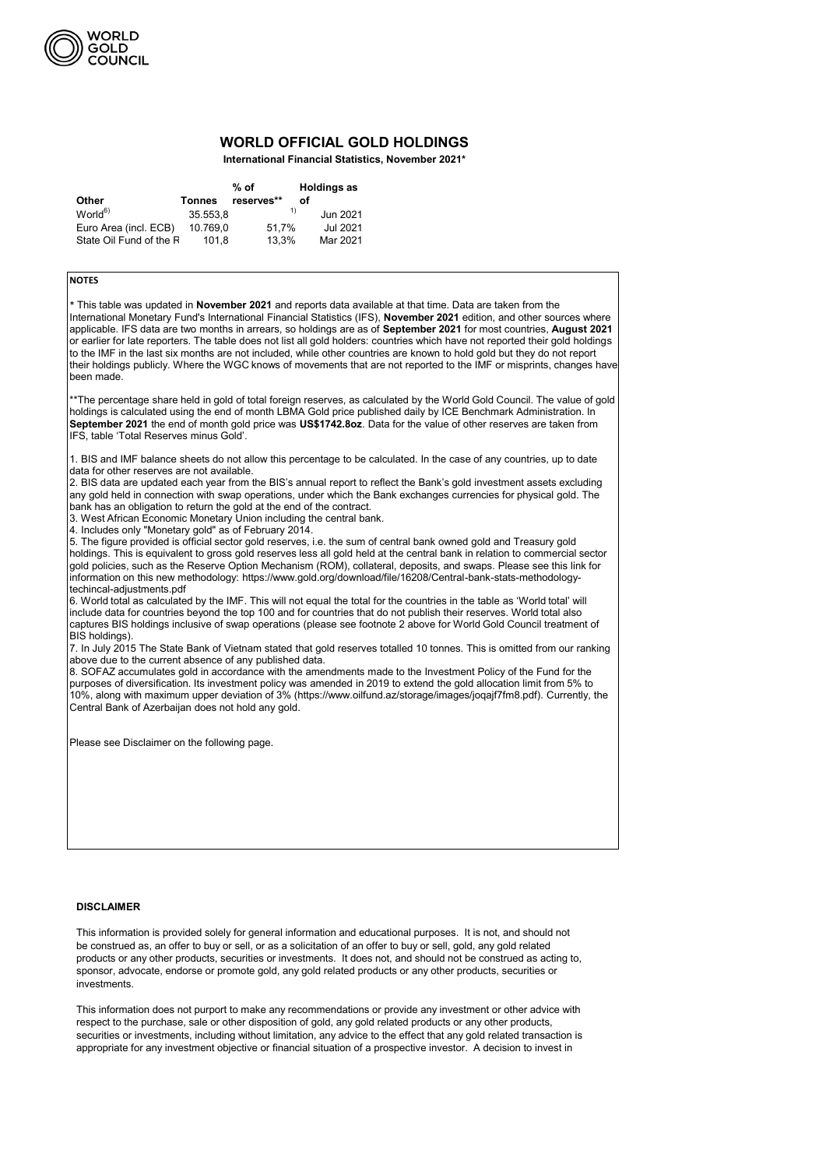|                         |               | % of       | <b>Holdings as</b> |
|-------------------------|---------------|------------|--------------------|
| <b>Other</b>            | <b>Tonnes</b> | reserves** | Ωf                 |
| World <sup>6</sup>      | 35.553,8      |            | 1)<br>Jun 2021     |
| Euro Area (incl. ECB)   | 10.769,0      | 51.7%      | Jul 2021           |
| State Oil Fund of the R | 101.8         | 13,3%      | Mar 2021           |



## **WORLD OFFICIAL GOLD HOLDINGS**

**International Financial Statistics, November 2021\***

This information is provided solely for general information and educational purposes. It is not, and should not be construed as, an offer to buy or sell, or as a solicitation of an offer to buy or sell, gold, any gold related products or any other products, securities or investments. It does not, and should not be construed as acting to, sponsor, advocate, endorse or promote gold, any gold related products or any other products, securities or investments.

This information does not purport to make any recommendations or provide any investment or other advice with respect to the purchase, sale or other disposition of gold, any gold related products or any other products, securities or investments, including without limitation, any advice to the effect that any gold related transaction is appropriate for any investment objective or financial situation of a prospective investor. A decision to invest in

## **NOTES**

\* This table was updated in **November 2021** and reports data available at that time. Data are taken from the International Monetary Fund's International Financial Statistics (IFS), **November 2021** edition, and other sources where applicable. IFS data are two months in arrears, so holdings are as of **September 2021** for most countries, **August 2021**  or earlier for late reporters. The table does not list all gold holders: countries which have not reported their gold holdings to the IMF in the last six months are not included, while other countries are known to hold gold but they do not report their holdings publicly. Where the WGC knows of movements that are not reported to the IMF or misprints, changes have been made.

\*\*The percentage share held in gold of total foreign reserves, as calculated by the World Gold Council. The value of gold holdings is calculated using the end of month LBMA Gold price published daily by ICE Benchmark Administration. In **September 2021** the end of month gold price was **US\$1742.8oz**. Data for the value of other reserves are taken from IFS, table 'Total Reserves minus Gold'.

1. BIS and IMF balance sheets do not allow this percentage to be calculated. In the case of any countries, up to date data for other reserves are not available.

2. BIS data are updated each year from the BIS's annual report to reflect the Bank's gold investment assets excluding any gold held in connection with swap operations, under which the Bank exchanges currencies for physical gold. The bank has an obligation to return the gold at the end of the contract.

3. West African Economic Monetary Union including the central bank.

4. Includes only "Monetary gold" as of February 2014.

5. The figure provided is official sector gold reserves, i.e. the sum of central bank owned gold and Treasury gold holdings. This is equivalent to gross gold reserves less all gold held at the central bank in relation to commercial sector gold policies, such as the Reserve Option Mechanism (ROM), collateral, deposits, and swaps. Please see this link for information on this new methodology: https://www.gold.org/download/file/16208/Central-bank-stats-methodologytechincal-adjustments.pdf

6. World total as calculated by the IMF. This will not equal the total for the countries in the table as 'World total' will include data for countries beyond the top 100 and for countries that do not publish their reserves. World total also captures BIS holdings inclusive of swap operations (please see footnote 2 above for World Gold Council treatment of BIS holdings).

7. In July 2015 The State Bank of Vietnam stated that gold reserves totalled 10 tonnes. This is omitted from our ranking above due to the current absence of any published data.

8. SOFAZ accumulates gold in accordance with the amendments made to the Investment Policy of the Fund for the purposes of diversification. Its investment policy was amended in 2019 to extend the gold allocation limit from 5% to 10%, along with maximum upper deviation of 3% (https://www.oilfund.az/storage/images/joqajf7fm8.pdf). Currently, the Central Bank of Azerbaijan does not hold any gold.

Please see Disclaimer on the following page.